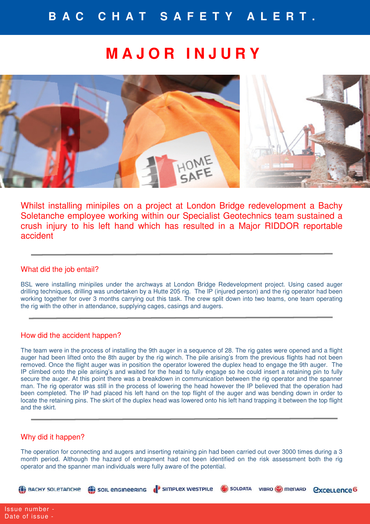# **M A J O R I N J U R Y**



Whilst installing minipiles on a project at London Bridge redevelopment a Bachy Soletanche employee working within our Specialist Geotechnics team sustained a crush injury to his left hand which has resulted in a Major RIDDOR reportable accident

## What did the job entail?

BSL were installing minipiles under the archways at London Bridge Redevelopment project. Using cased auger drilling techniques, drilling was undertaken by a Hutte 205 rig. The IP (injured person) and the rig operator had been working together for over 3 months carrying out this task. The crew split down into two teams, one team operating the rig with the other in attendance, supplying cages, casings and augers.

#### How did the accident happen?

The team were in the process of installing the 9th auger in a sequence of 28. The rig gates were opened and a flight auger had been lifted onto the 8th auger by the rig winch. The pile arising's from the previous flights had not been removed. Once the flight auger was in position the operator lowered the duplex head to engage the 9th auger. The IP climbed onto the pile arising's and waited for the head to fully engage so he could insert a retaining pin to fully secure the auger. At this point there was a breakdown in communication between the rig operator and the spanner man. The rig operator was still in the process of lowering the head however the IP believed that the operation had been completed. The IP had placed his left hand on the top flight of the auger and was bending down in order to locate the retaining pins. The skirt of the duplex head was lowered onto his left hand trapping it between the top flight and the skirt.

#### Why did it happen?

The operation for connecting and augers and inserting retaining pin had been carried out over 3000 times during a 3 month period. Although the hazard of entrapment had not been identified on the risk assessment both the rig operator and the spanner man individuals were fully aware of the potential.

SOIL ENGINEERING I SIMPLEX WESTPILE GOLDATA VIBRO O MENARD

*<u><u>Cxcellence</u>*</u>

**EX BACHY SOLETANCHE**